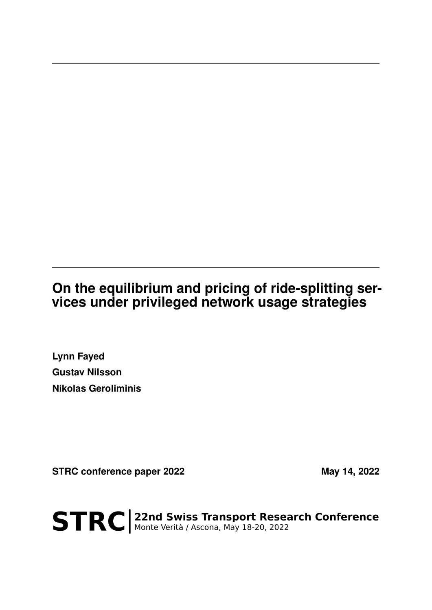## **On the equilibrium and pricing of ride-splitting services under privileged network usage strategies**

**Lynn Fayed Gustav Nilsson Nikolas Geroliminis**

STRC conference paper 2022 **May 14, 2022** 

STRC | 22nd Swiss Transport Research Conference